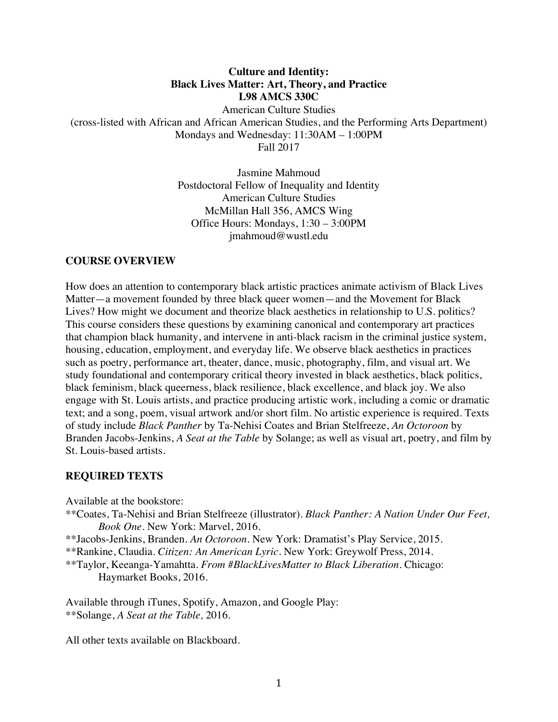# **Culture and Identity: Black Lives Matter: Art, Theory, and Practice L98 AMCS 330C** American Culture Studies (cross-listed with African and African American Studies, and the Performing Arts Department) Mondays and Wednesday: 11:30AM – 1:00PM Fall 2017

Jasmine Mahmoud Postdoctoral Fellow of Inequality and Identity American Culture Studies McMillan Hall 356, AMCS Wing Office Hours: Mondays, 1:30 – 3:00PM jmahmoud@wustl.edu

#### **COURSE OVERVIEW**

How does an attention to contemporary black artistic practices animate activism of Black Lives Matter—a movement founded by three black queer women—and the Movement for Black Lives? How might we document and theorize black aesthetics in relationship to U.S. politics? This course considers these questions by examining canonical and contemporary art practices that champion black humanity, and intervene in anti-black racism in the criminal justice system, housing, education, employment, and everyday life. We observe black aesthetics in practices such as poetry, performance art, theater, dance, music, photography, film, and visual art. We study foundational and contemporary critical theory invested in black aesthetics, black politics, black feminism, black queerness, black resilience, black excellence, and black joy. We also engage with St. Louis artists, and practice producing artistic work, including a comic or dramatic text; and a song, poem, visual artwork and/or short film. No artistic experience is required. Texts of study include *Black Panther* by Ta-Nehisi Coates and Brian Stelfreeze, *An Octoroon* by Branden Jacobs-Jenkins, *A Seat at the Table* by Solange; as well as visual art, poetry, and film by St. Louis-based artists.

#### **REQUIRED TEXTS**

Available at the bookstore:

\*\*Coates, Ta-Nehisi and Brian Stelfreeze (illustrator). *Black Panther: A Nation Under Our Feet, Book One.* New York: Marvel, 2016.

\*\*Jacobs-Jenkins, Branden. *An Octoroon.* New York: Dramatist's Play Service, 2015.

\*\*Rankine, Claudia. *Citizen: An American Lyric.* New York: Greywolf Press, 2014.

\*\*Taylor, Keeanga-Yamahtta. *From #BlackLivesMatter to Black Liberation.* Chicago: Haymarket Books, 2016.

Available through iTunes, Spotify, Amazon, and Google Play: \*\*Solange, *A Seat at the Table,* 2016.

All other texts available on Blackboard.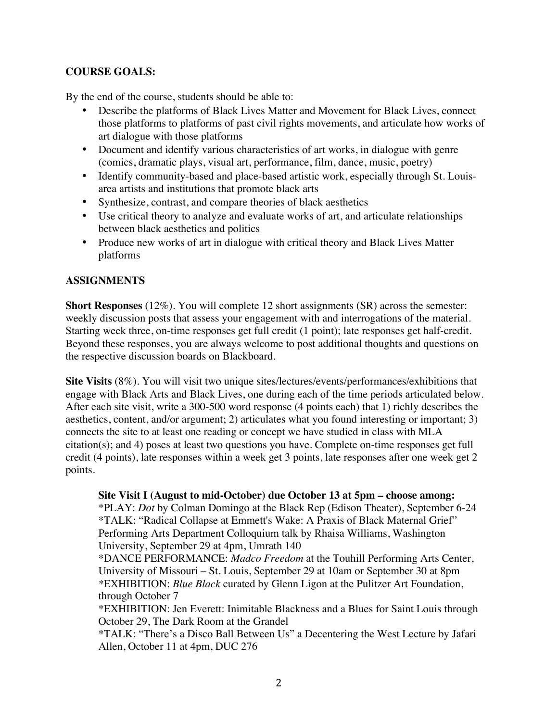# **COURSE GOALS:**

By the end of the course, students should be able to:

- Describe the platforms of Black Lives Matter and Movement for Black Lives, connect those platforms to platforms of past civil rights movements, and articulate how works of art dialogue with those platforms
- Document and identify various characteristics of art works, in dialogue with genre (comics, dramatic plays, visual art, performance, film, dance, music, poetry)
- Identify community-based and place-based artistic work, especially through St. Louisarea artists and institutions that promote black arts
- Synthesize, contrast, and compare theories of black aesthetics
- Use critical theory to analyze and evaluate works of art, and articulate relationships between black aesthetics and politics
- Produce new works of art in dialogue with critical theory and Black Lives Matter platforms

## **ASSIGNMENTS**

**Short Responses** (12%). You will complete 12 short assignments (SR) across the semester: weekly discussion posts that assess your engagement with and interrogations of the material. Starting week three, on-time responses get full credit (1 point); late responses get half-credit. Beyond these responses, you are always welcome to post additional thoughts and questions on the respective discussion boards on Blackboard.

**Site Visits** (8%). You will visit two unique sites/lectures/events/performances/exhibitions that engage with Black Arts and Black Lives, one during each of the time periods articulated below. After each site visit, write a 300-500 word response (4 points each) that 1) richly describes the aesthetics, content, and/or argument; 2) articulates what you found interesting or important; 3) connects the site to at least one reading or concept we have studied in class with MLA citation(s); and 4) poses at least two questions you have. Complete on-time responses get full credit (4 points), late responses within a week get 3 points, late responses after one week get 2 points.

**Site Visit I (August to mid-October) due October 13 at 5pm – choose among:** \*PLAY: *Dot* by Colman Domingo at the Black Rep (Edison Theater), September 6-24 \*TALK: "Radical Collapse at Emmett's Wake: A Praxis of Black Maternal Grief" Performing Arts Department Colloquium talk by Rhaisa Williams, Washington University, September 29 at 4pm, Umrath 140

\*DANCE PERFORMANCE: *Madco Freedom* at the Touhill Performing Arts Center, University of Missouri – St. Louis, September 29 at 10am or September 30 at 8pm *\**EXHIBITION: *Blue Black* curated by Glenn Ligon at the Pulitzer Art Foundation, through October 7

\*EXHIBITION: Jen Everett: Inimitable Blackness and a Blues for Saint Louis through October 29, The Dark Room at the Grandel

\*TALK: "There's a Disco Ball Between Us" a Decentering the West Lecture by Jafari Allen, October 11 at 4pm, DUC 276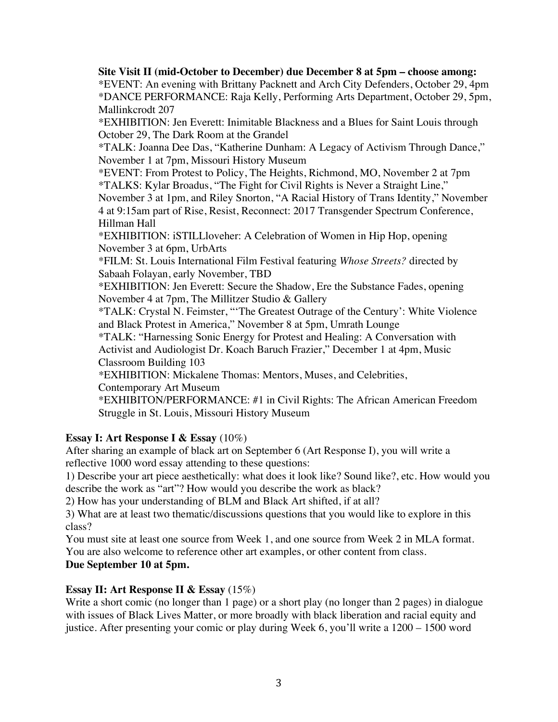**Site Visit II (mid-October to December) due December 8 at 5pm – choose among:** \*EVENT: An evening with Brittany Packnett and Arch City Defenders, October 29, 4pm \*DANCE PERFORMANCE: Raja Kelly, Performing Arts Department, October 29, 5pm, Mallinkcrodt 207 \*EXHIBITION: Jen Everett: Inimitable Blackness and a Blues for Saint Louis through October 29, The Dark Room at the Grandel \*TALK: Joanna Dee Das, "Katherine Dunham: A Legacy of Activism Through Dance," November 1 at 7pm, Missouri History Museum \*EVENT: From Protest to Policy, The Heights, Richmond, MO, November 2 at 7pm \*TALKS: Kylar Broadus, "The Fight for Civil Rights is Never a Straight Line," November 3 at 1pm, and Riley Snorton, "A Racial History of Trans Identity," November 4 at 9:15am part of Rise, Resist, Reconnect: 2017 Transgender Spectrum Conference, Hillman Hall \*EXHIBITION: iSTILLloveher: A Celebration of Women in Hip Hop, opening November 3 at 6pm, UrbArts \*FILM: St. Louis International Film Festival featuring *Whose Streets?* directed by Sabaah Folayan, early November, TBD \*EXHIBITION: Jen Everett: Secure the Shadow, Ere the Substance Fades, opening November 4 at 7pm, The Millitzer Studio & Gallery \*TALK: Crystal N. Feimster, "'The Greatest Outrage of the Century': White Violence and Black Protest in America," November 8 at 5pm, Umrath Lounge \*TALK: "Harnessing Sonic Energy for Protest and Healing: A Conversation with Activist and Audiologist Dr. Koach Baruch Frazier," December 1 at 4pm, Music Classroom Building 103 *\**EXHIBITION: Mickalene Thomas: Mentors, Muses, and Celebrities, Contemporary Art Museum \*EXHIBITON/PERFORMANCE: #1 in Civil Rights: The African American Freedom Struggle in St. Louis, Missouri History Museum

# **Essay I: Art Response I & Essay** (10%)

After sharing an example of black art on September 6 (Art Response I), you will write a reflective 1000 word essay attending to these questions:

1) Describe your art piece aesthetically: what does it look like? Sound like?, etc. How would you describe the work as "art"? How would you describe the work as black?

2) How has your understanding of BLM and Black Art shifted, if at all?

3) What are at least two thematic/discussions questions that you would like to explore in this class?

You must site at least one source from Week 1, and one source from Week 2 in MLA format. You are also welcome to reference other art examples, or other content from class.

# **Due September 10 at 5pm.**

# **Essay II: Art Response II & Essay** (15%)

Write a short comic (no longer than 1 page) or a short play (no longer than 2 pages) in dialogue with issues of Black Lives Matter, or more broadly with black liberation and racial equity and justice. After presenting your comic or play during Week 6, you'll write a 1200 – 1500 word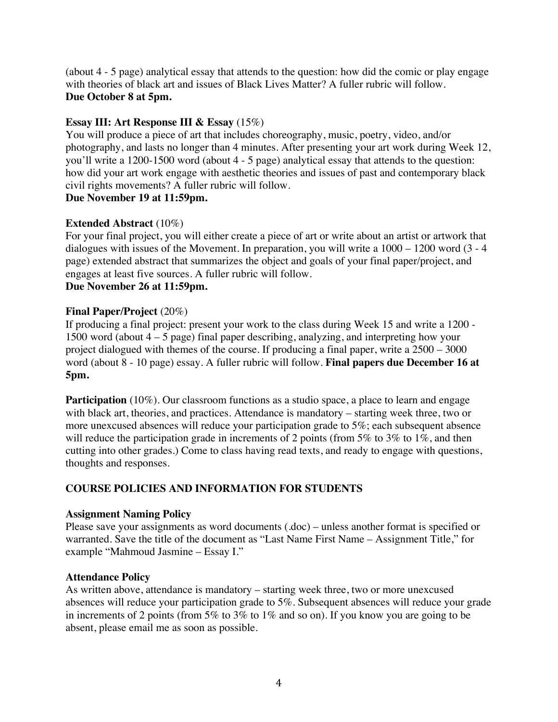(about 4 - 5 page) analytical essay that attends to the question: how did the comic or play engage with theories of black art and issues of Black Lives Matter? A fuller rubric will follow. **Due October 8 at 5pm.**

# **Essay III: Art Response III & Essay** (15%)

You will produce a piece of art that includes choreography, music, poetry, video, and/or photography, and lasts no longer than 4 minutes. After presenting your art work during Week 12, you'll write a 1200-1500 word (about 4 - 5 page) analytical essay that attends to the question: how did your art work engage with aesthetic theories and issues of past and contemporary black civil rights movements? A fuller rubric will follow.

# **Due November 19 at 11:59pm.**

## **Extended Abstract** (10%)

For your final project, you will either create a piece of art or write about an artist or artwork that dialogues with issues of the Movement. In preparation, you will write a 1000 – 1200 word (3 - 4 page) extended abstract that summarizes the object and goals of your final paper/project, and engages at least five sources. A fuller rubric will follow. **Due November 26 at 11:59pm.**

## **Final Paper/Project** (20%)

If producing a final project: present your work to the class during Week 15 and write a 1200 - 1500 word (about 4 – 5 page) final paper describing, analyzing, and interpreting how your project dialogued with themes of the course. If producing a final paper, write a 2500 – 3000 word (about 8 - 10 page) essay. A fuller rubric will follow. **Final papers due December 16 at 5pm.**

**Participation** (10%). Our classroom functions as a studio space, a place to learn and engage with black art, theories, and practices. Attendance is mandatory – starting week three, two or more unexcused absences will reduce your participation grade to 5%; each subsequent absence will reduce the participation grade in increments of 2 points (from 5% to 3% to 1%, and then cutting into other grades.) Come to class having read texts, and ready to engage with questions, thoughts and responses.

# **COURSE POLICIES AND INFORMATION FOR STUDENTS**

### **Assignment Naming Policy**

Please save your assignments as word documents (.doc) – unless another format is specified or warranted. Save the title of the document as "Last Name First Name – Assignment Title," for example "Mahmoud Jasmine – Essay I."

### **Attendance Policy**

As written above, attendance is mandatory – starting week three, two or more unexcused absences will reduce your participation grade to 5%. Subsequent absences will reduce your grade in increments of 2 points (from 5% to 3% to 1% and so on). If you know you are going to be absent, please email me as soon as possible.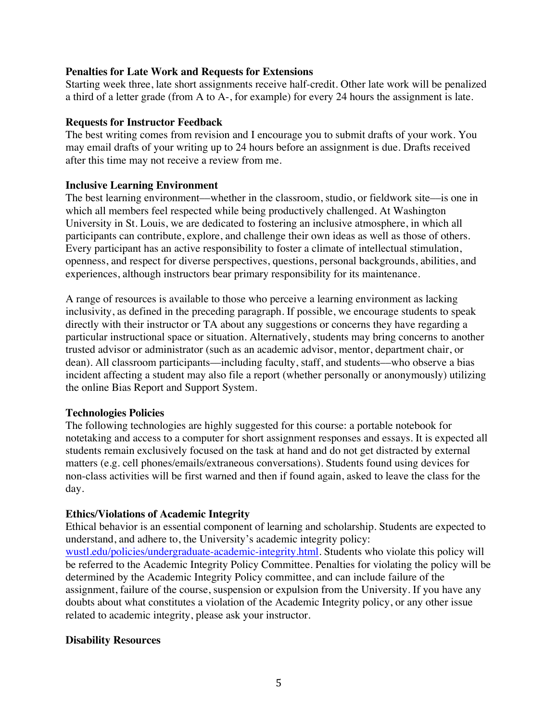### **Penalties for Late Work and Requests for Extensions**

Starting week three, late short assignments receive half-credit. Other late work will be penalized a third of a letter grade (from A to A-, for example) for every 24 hours the assignment is late.

## **Requests for Instructor Feedback**

The best writing comes from revision and I encourage you to submit drafts of your work. You may email drafts of your writing up to 24 hours before an assignment is due. Drafts received after this time may not receive a review from me.

## **Inclusive Learning Environment**

The best learning environment––whether in the classroom, studio, or fieldwork site––is one in which all members feel respected while being productively challenged. At Washington University in St. Louis, we are dedicated to fostering an inclusive atmosphere, in which all participants can contribute, explore, and challenge their own ideas as well as those of others. Every participant has an active responsibility to foster a climate of intellectual stimulation, openness, and respect for diverse perspectives, questions, personal backgrounds, abilities, and experiences, although instructors bear primary responsibility for its maintenance.

A range of resources is available to those who perceive a learning environment as lacking inclusivity, as defined in the preceding paragraph. If possible, we encourage students to speak directly with their instructor or TA about any suggestions or concerns they have regarding a particular instructional space or situation. Alternatively, students may bring concerns to another trusted advisor or administrator (such as an academic advisor, mentor, department chair, or dean). All classroom participants—including faculty, staff, and students—who observe a bias incident affecting a student may also file a report (whether personally or anonymously) utilizing the online Bias Report and Support System.

### **Technologies Policies**

The following technologies are highly suggested for this course: a portable notebook for notetaking and access to a computer for short assignment responses and essays. It is expected all students remain exclusively focused on the task at hand and do not get distracted by external matters (e.g. cell phones/emails/extraneous conversations). Students found using devices for non-class activities will be first warned and then if found again, asked to leave the class for the day.

# **Ethics/Violations of Academic Integrity**

Ethical behavior is an essential component of learning and scholarship. Students are expected to understand, and adhere to, the University's academic integrity policy: wustl.edu/policies/undergraduate-academic-integrity.html. Students who violate this policy will be referred to the Academic Integrity Policy Committee. Penalties for violating the policy will be determined by the Academic Integrity Policy committee, and can include failure of the assignment, failure of the course, suspension or expulsion from the University. If you have any doubts about what constitutes a violation of the Academic Integrity policy, or any other issue related to academic integrity, please ask your instructor.

# **Disability Resources**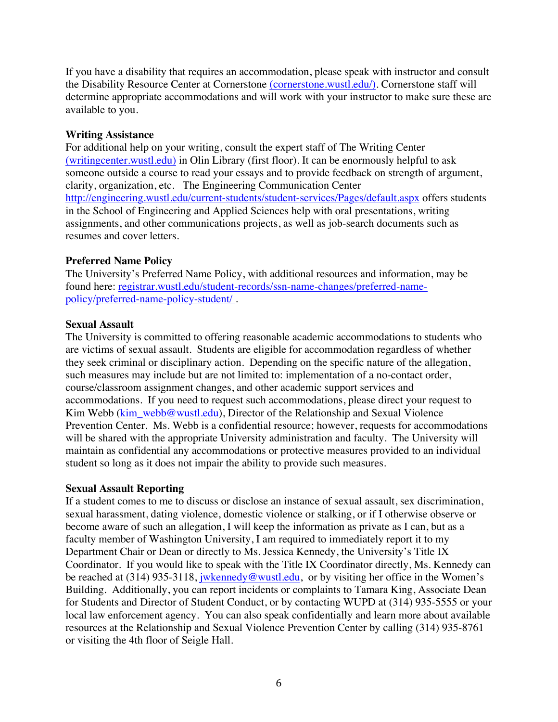If you have a disability that requires an accommodation, please speak with instructor and consult the Disability Resource Center at Cornerstone (cornerstone.wustl.edu/). Cornerstone staff will determine appropriate accommodations and will work with your instructor to make sure these are available to you.

## **Writing Assistance**

For additional help on your writing, consult the expert staff of The Writing Center (writingcenter.wustl.edu) in Olin Library (first floor). It can be enormously helpful to ask someone outside a course to read your essays and to provide feedback on strength of argument, clarity, organization, etc. The Engineering Communication Center http://engineering.wustl.edu/current-students/student-services/Pages/default.aspx offers students in the School of Engineering and Applied Sciences help with oral presentations, writing assignments, and other communications projects, as well as job-search documents such as resumes and cover letters.

## **Preferred Name Policy**

The University's Preferred Name Policy, with additional resources and information, may be found here: registrar.wustl.edu/student-records/ssn-name-changes/preferred-namepolicy/preferred-name-policy-student/ .

### **Sexual Assault**

The University is committed to offering reasonable academic accommodations to students who are victims of sexual assault. Students are eligible for accommodation regardless of whether they seek criminal or disciplinary action. Depending on the specific nature of the allegation, such measures may include but are not limited to: implementation of a no-contact order, course/classroom assignment changes, and other academic support services and accommodations. If you need to request such accommodations, please direct your request to Kim Webb (kim\_webb@wustl.edu), Director of the Relationship and Sexual Violence Prevention Center. Ms. Webb is a confidential resource; however, requests for accommodations will be shared with the appropriate University administration and faculty. The University will maintain as confidential any accommodations or protective measures provided to an individual student so long as it does not impair the ability to provide such measures.

### **Sexual Assault Reporting**

If a student comes to me to discuss or disclose an instance of sexual assault, sex discrimination, sexual harassment, dating violence, domestic violence or stalking, or if I otherwise observe or become aware of such an allegation, I will keep the information as private as I can, but as a faculty member of Washington University, I am required to immediately report it to my Department Chair or Dean or directly to Ms. Jessica Kennedy, the University's Title IX Coordinator. If you would like to speak with the Title IX Coordinator directly, Ms. Kennedy can be reached at (314) 935-3118, jwkennedy@wustl.edu, or by visiting her office in the Women's Building. Additionally, you can report incidents or complaints to Tamara King, Associate Dean for Students and Director of Student Conduct, or by contacting WUPD at (314) 935-5555 or your local law enforcement agency. You can also speak confidentially and learn more about available resources at the Relationship and Sexual Violence Prevention Center by calling (314) 935-8761 or visiting the 4th floor of Seigle Hall.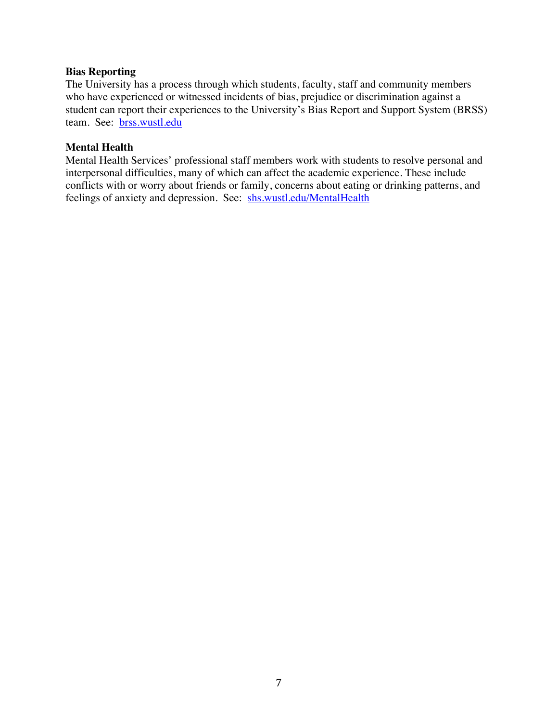#### **Bias Reporting**

The University has a process through which students, faculty, staff and community members who have experienced or witnessed incidents of bias, prejudice or discrimination against a student can report their experiences to the University's Bias Report and Support System (BRSS) team. See: brss.wustl.edu

### **Mental Health**

Mental Health Services' professional staff members work with students to resolve personal and interpersonal difficulties, many of which can affect the academic experience. These include conflicts with or worry about friends or family, concerns about eating or drinking patterns, and feelings of anxiety and depression. See: shs.wustl.edu/MentalHealth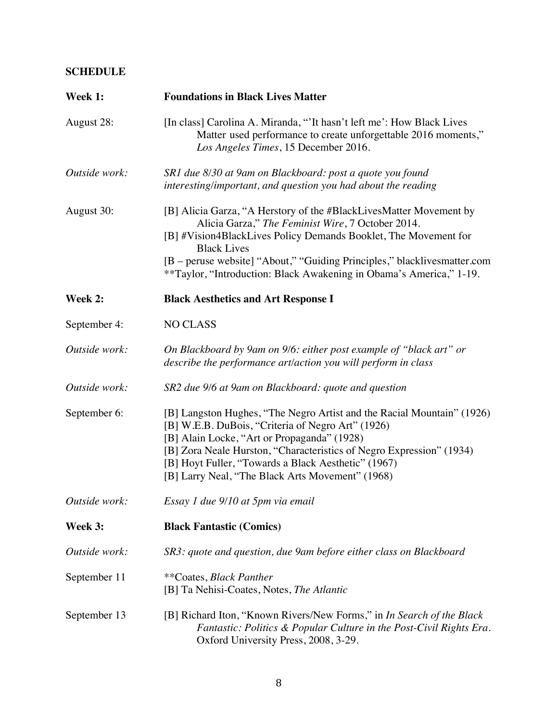# **SCHEDULE**

| Week 1:       | <b>Foundations in Black Lives Matter</b>                                                                                                                                                                                                                                                                                                                            |
|---------------|---------------------------------------------------------------------------------------------------------------------------------------------------------------------------------------------------------------------------------------------------------------------------------------------------------------------------------------------------------------------|
| August 28:    | [In class] Carolina A. Miranda, "'It hasn't left me': How Black Lives<br>Matter used performance to create unforgettable 2016 moments,"<br>Los Angeles Times, 15 December 2016.                                                                                                                                                                                     |
| Outside work: | SR1 due 8/30 at 9am on Blackboard: post a quote you found<br>interesting/important, and question you had about the reading                                                                                                                                                                                                                                          |
| August 30:    | [B] Alicia Garza, "A Herstory of the #BlackLivesMatter Movement by<br>Alicia Garza," The Feminist Wire, 7 October 2014.<br>[B] #Vision4BlackLives Policy Demands Booklet, The Movement for<br><b>Black Lives</b><br>[B – peruse website] "About," "Guiding Principles," blacklivesmatter.com<br>**Taylor, "Introduction: Black Awakening in Obama's America," 1-19. |
| Week 2:       | <b>Black Aesthetics and Art Response I</b>                                                                                                                                                                                                                                                                                                                          |
| September 4:  | <b>NO CLASS</b>                                                                                                                                                                                                                                                                                                                                                     |
| Outside work: | On Blackboard by 9am on 9/6: either post example of "black art" or<br>describe the performance art/action you will perform in class                                                                                                                                                                                                                                 |
| Outside work: | SR2 due 9/6 at 9am on Blackboard: quote and question                                                                                                                                                                                                                                                                                                                |
| September 6:  | [B] Langston Hughes, "The Negro Artist and the Racial Mountain" (1926)<br>[B] W.E.B. DuBois, "Criteria of Negro Art" (1926)<br>[B] Alain Locke, "Art or Propaganda" (1928)<br>[B] Zora Neale Hurston, "Characteristics of Negro Expression" (1934)<br>[B] Hoyt Fuller, "Towards a Black Aesthetic" (1967)<br>[B] Larry Neal, "The Black Arts Movement" (1968)       |
| Outside work: | Essay 1 due 9/10 at 5pm via email                                                                                                                                                                                                                                                                                                                                   |
| Week 3:       | <b>Black Fantastic (Comics)</b>                                                                                                                                                                                                                                                                                                                                     |
| Outside work: | SR3: quote and question, due 9am before either class on Blackboard                                                                                                                                                                                                                                                                                                  |
| September 11  | **Coates, Black Panther<br>[B] Ta Nehisi-Coates, Notes, The Atlantic                                                                                                                                                                                                                                                                                                |
| September 13  | [B] Richard Iton, "Known Rivers/New Forms," in In Search of the Black<br>Fantastic: Politics & Popular Culture in the Post-Civil Rights Era.<br>Oxford University Press, 2008, 3-29.                                                                                                                                                                                |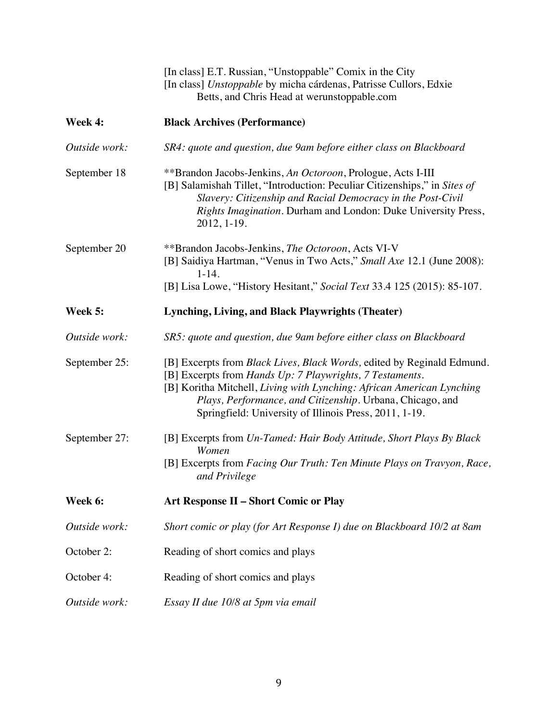|               | [In class] E.T. Russian, "Unstoppable" Comix in the City<br>[In class] Unstoppable by micha cárdenas, Patrisse Cullors, Edxie<br>Betts, and Chris Head at werunstoppable.com                                                                                                                                                                       |
|---------------|----------------------------------------------------------------------------------------------------------------------------------------------------------------------------------------------------------------------------------------------------------------------------------------------------------------------------------------------------|
| Week 4:       | <b>Black Archives (Performance)</b>                                                                                                                                                                                                                                                                                                                |
| Outside work: | SR4: quote and question, due 9am before either class on Blackboard                                                                                                                                                                                                                                                                                 |
| September 18  | **Brandon Jacobs-Jenkins, An Octoroon, Prologue, Acts I-III<br>[B] Salamishah Tillet, "Introduction: Peculiar Citizenships," in Sites of<br>Slavery: Citizenship and Racial Democracy in the Post-Civil<br>Rights Imagination. Durham and London: Duke University Press,<br>2012, 1-19.                                                            |
| September 20  | **Brandon Jacobs-Jenkins, The Octoroon, Acts VI-V<br>[B] Saidiya Hartman, "Venus in Two Acts," Small Axe 12.1 (June 2008):<br>$1 - 14.$                                                                                                                                                                                                            |
|               | [B] Lisa Lowe, "History Hesitant," Social Text 33.4 125 (2015): 85-107.                                                                                                                                                                                                                                                                            |
| Week 5:       | Lynching, Living, and Black Playwrights (Theater)                                                                                                                                                                                                                                                                                                  |
| Outside work: | SR5: quote and question, due 9am before either class on Blackboard                                                                                                                                                                                                                                                                                 |
| September 25: | [B] Excerpts from <i>Black Lives</i> , <i>Black Words</i> , edited by Reginald Edmund.<br>[B] Excerpts from Hands Up: 7 Playwrights, 7 Testaments.<br>[B] Koritha Mitchell, Living with Lynching: African American Lynching<br>Plays, Performance, and Citizenship. Urbana, Chicago, and<br>Springfield: University of Illinois Press, 2011, 1-19. |
| September 27: | [B] Excerpts from Un-Tamed: Hair Body Attitude, Short Plays By Black<br>Women<br>[B] Excerpts from Facing Our Truth: Ten Minute Plays on Travyon, Race,<br>and Privilege                                                                                                                                                                           |
| Week 6:       | <b>Art Response II - Short Comic or Play</b>                                                                                                                                                                                                                                                                                                       |
| Outside work: | Short comic or play (for Art Response I) due on Blackboard 10/2 at 8am                                                                                                                                                                                                                                                                             |
| October 2:    | Reading of short comics and plays                                                                                                                                                                                                                                                                                                                  |
| October 4:    | Reading of short comics and plays                                                                                                                                                                                                                                                                                                                  |
| Outside work: | Essay II due 10/8 at 5pm via email                                                                                                                                                                                                                                                                                                                 |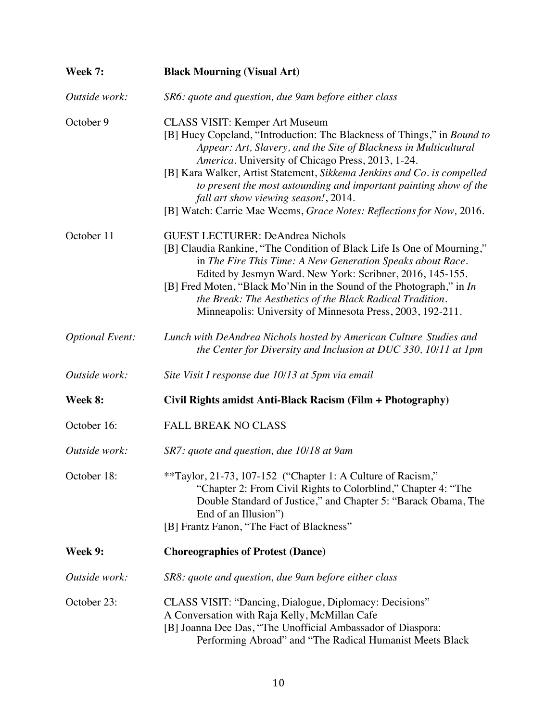| Week 7:                | <b>Black Mourning (Visual Art)</b>                                                                                                                                                                                                                                                                                                                                                                                                                                                                        |
|------------------------|-----------------------------------------------------------------------------------------------------------------------------------------------------------------------------------------------------------------------------------------------------------------------------------------------------------------------------------------------------------------------------------------------------------------------------------------------------------------------------------------------------------|
| Outside work:          | SR6: quote and question, due 9 am before either class                                                                                                                                                                                                                                                                                                                                                                                                                                                     |
| October 9              | <b>CLASS VISIT: Kemper Art Museum</b><br>[B] Huey Copeland, "Introduction: The Blackness of Things," in Bound to<br>Appear: Art, Slavery, and the Site of Blackness in Multicultural<br>America. University of Chicago Press, 2013, 1-24.<br>[B] Kara Walker, Artist Statement, Sikkema Jenkins and Co. is compelled<br>to present the most astounding and important painting show of the<br>fall art show viewing season!, 2014.<br>[B] Watch: Carrie Mae Weems, Grace Notes: Reflections for Now, 2016. |
| October 11             | <b>GUEST LECTURER: DeAndrea Nichols</b><br>[B] Claudia Rankine, "The Condition of Black Life Is One of Mourning,"<br>in The Fire This Time: A New Generation Speaks about Race.<br>Edited by Jesmyn Ward. New York: Scribner, 2016, 145-155.<br>[B] Fred Moten, "Black Mo'Nin in the Sound of the Photograph," in In<br>the Break: The Aesthetics of the Black Radical Tradition.<br>Minneapolis: University of Minnesota Press, 2003, 192-211.                                                           |
| <b>Optional Event:</b> | Lunch with DeAndrea Nichols hosted by American Culture Studies and<br>the Center for Diversity and Inclusion at DUC 330, 10/11 at 1pm                                                                                                                                                                                                                                                                                                                                                                     |
| Outside work:          | Site Visit I response due 10/13 at 5pm via email                                                                                                                                                                                                                                                                                                                                                                                                                                                          |
| Week 8:                | Civil Rights amidst Anti-Black Racism (Film + Photography)                                                                                                                                                                                                                                                                                                                                                                                                                                                |
| October 16:            | <b>FALL BREAK NO CLASS</b>                                                                                                                                                                                                                                                                                                                                                                                                                                                                                |
| Outside work:          | SR7: quote and question, due 10/18 at 9am                                                                                                                                                                                                                                                                                                                                                                                                                                                                 |
| October 18:            | **Taylor, 21-73, 107-152 ("Chapter 1: A Culture of Racism,"<br>"Chapter 2: From Civil Rights to Colorblind," Chapter 4: "The<br>Double Standard of Justice," and Chapter 5: "Barack Obama, The<br>End of an Illusion")<br>[B] Frantz Fanon, "The Fact of Blackness"                                                                                                                                                                                                                                       |
| Week 9:                | <b>Choreographies of Protest (Dance)</b>                                                                                                                                                                                                                                                                                                                                                                                                                                                                  |
| Outside work:          | SR8: quote and question, due 9 am before either class                                                                                                                                                                                                                                                                                                                                                                                                                                                     |
| October 23:            | CLASS VISIT: "Dancing, Dialogue, Diplomacy: Decisions"<br>A Conversation with Raja Kelly, McMillan Cafe<br>[B] Joanna Dee Das, "The Unofficial Ambassador of Diaspora:<br>Performing Abroad" and "The Radical Humanist Meets Black                                                                                                                                                                                                                                                                        |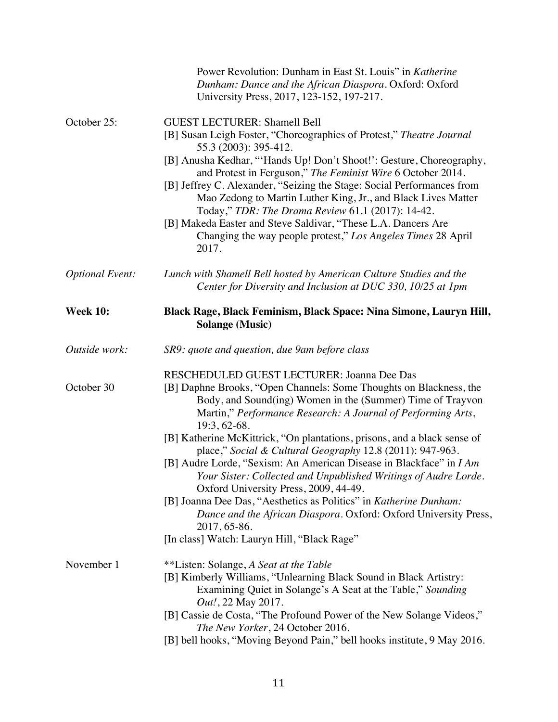|                        | Power Revolution: Dunham in East St. Louis" in Katherine<br>Dunham: Dance and the African Diaspora. Oxford: Oxford<br>University Press, 2017, 123-152, 197-217.                                                                                                                                                                                                                                                                                                                                                                                                                                                                                                                                                                                                                                    |
|------------------------|----------------------------------------------------------------------------------------------------------------------------------------------------------------------------------------------------------------------------------------------------------------------------------------------------------------------------------------------------------------------------------------------------------------------------------------------------------------------------------------------------------------------------------------------------------------------------------------------------------------------------------------------------------------------------------------------------------------------------------------------------------------------------------------------------|
| October 25:            | <b>GUEST LECTURER: Shamell Bell</b><br>[B] Susan Leigh Foster, "Choreographies of Protest," Theatre Journal<br>55.3 (2003): 395-412.<br>[B] Anusha Kedhar, "'Hands Up! Don't Shoot!': Gesture, Choreography,<br>and Protest in Ferguson," The Feminist Wire 6 October 2014.<br>[B] Jeffrey C. Alexander, "Seizing the Stage: Social Performances from<br>Mao Zedong to Martin Luther King, Jr., and Black Lives Matter<br>Today," TDR: The Drama Review 61.1 (2017): 14-42.<br>[B] Makeda Easter and Steve Saldivar, "These L.A. Dancers Are<br>Changing the way people protest," Los Angeles Times 28 April<br>2017.                                                                                                                                                                              |
| <b>Optional Event:</b> | Lunch with Shamell Bell hosted by American Culture Studies and the<br>Center for Diversity and Inclusion at DUC 330, 10/25 at 1pm                                                                                                                                                                                                                                                                                                                                                                                                                                                                                                                                                                                                                                                                  |
| <b>Week 10:</b>        | Black Rage, Black Feminism, Black Space: Nina Simone, Lauryn Hill,<br><b>Solange (Music)</b>                                                                                                                                                                                                                                                                                                                                                                                                                                                                                                                                                                                                                                                                                                       |
| Outside work:          | SR9: quote and question, due 9 am before class                                                                                                                                                                                                                                                                                                                                                                                                                                                                                                                                                                                                                                                                                                                                                     |
| October 30             | RESCHEDULED GUEST LECTURER: Joanna Dee Das<br>[B] Daphne Brooks, "Open Channels: Some Thoughts on Blackness, the<br>Body, and Sound(ing) Women in the (Summer) Time of Trayvon<br>Martin," Performance Research: A Journal of Performing Arts,<br>19:3, 62-68.<br>[B] Katherine McKittrick, "On plantations, prisons, and a black sense of<br>place," Social & Cultural Geography 12.8 (2011): 947-963.<br>[B] Audre Lorde, "Sexism: An American Disease in Blackface" in I Am<br>Your Sister: Collected and Unpublished Writings of Audre Lorde.<br>Oxford University Press, 2009, 44-49.<br>[B] Joanna Dee Das, "Aesthetics as Politics" in Katherine Dunham:<br>Dance and the African Diaspora. Oxford: Oxford University Press,<br>2017, 65-86.<br>[In class] Watch: Lauryn Hill, "Black Rage" |
| November 1             | **Listen: Solange, A Seat at the Table<br>[B] Kimberly Williams, "Unlearning Black Sound in Black Artistry:<br>Examining Quiet in Solange's A Seat at the Table," Sounding<br>Out!, 22 May 2017.<br>[B] Cassie de Costa, "The Profound Power of the New Solange Videos,"<br>The New Yorker, 24 October 2016.<br>[B] bell hooks, "Moving Beyond Pain," bell hooks institute, 9 May 2016.                                                                                                                                                                                                                                                                                                                                                                                                            |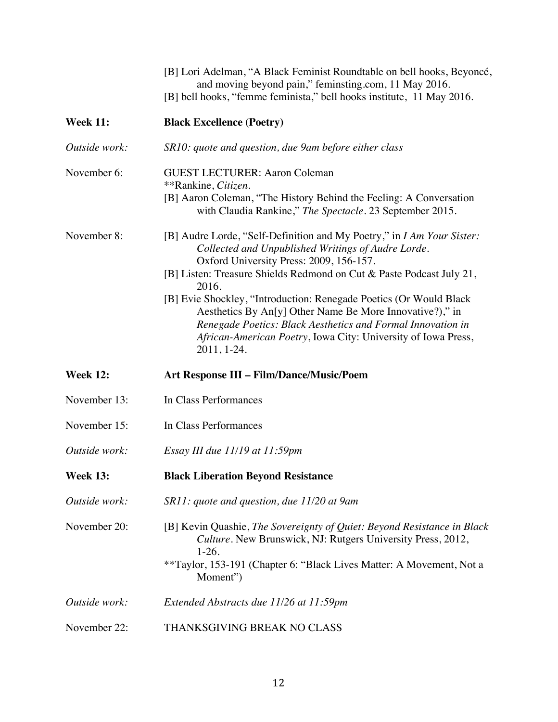|                 | [B] Lori Adelman, "A Black Feminist Roundtable on bell hooks, Beyoncé,<br>and moving beyond pain," feminsting.com, 11 May 2016.<br>[B] bell hooks, "femme feminista," bell hooks institute, 11 May 2016.                                                                                                                                                                                                                                                                                                                                  |
|-----------------|-------------------------------------------------------------------------------------------------------------------------------------------------------------------------------------------------------------------------------------------------------------------------------------------------------------------------------------------------------------------------------------------------------------------------------------------------------------------------------------------------------------------------------------------|
| <b>Week 11:</b> | <b>Black Excellence (Poetry)</b>                                                                                                                                                                                                                                                                                                                                                                                                                                                                                                          |
| Outside work:   | SR10: quote and question, due 9 am before either class                                                                                                                                                                                                                                                                                                                                                                                                                                                                                    |
| November 6:     | <b>GUEST LECTURER: Aaron Coleman</b><br>**Rankine, Citizen.<br>[B] Aaron Coleman, "The History Behind the Feeling: A Conversation<br>with Claudia Rankine," The Spectacle. 23 September 2015.                                                                                                                                                                                                                                                                                                                                             |
| November 8:     | [B] Audre Lorde, "Self-Definition and My Poetry," in I Am Your Sister:<br>Collected and Unpublished Writings of Audre Lorde.<br>Oxford University Press: 2009, 156-157.<br>[B] Listen: Treasure Shields Redmond on Cut & Paste Podcast July 21,<br>2016.<br>[B] Evie Shockley, "Introduction: Renegade Poetics (Or Would Black<br>Aesthetics By An[y] Other Name Be More Innovative?)," in<br>Renegade Poetics: Black Aesthetics and Formal Innovation in<br>African-American Poetry, Iowa City: University of Iowa Press,<br>2011, 1-24. |
| <b>Week 12:</b> | <b>Art Response III - Film/Dance/Music/Poem</b>                                                                                                                                                                                                                                                                                                                                                                                                                                                                                           |
| November 13:    | In Class Performances                                                                                                                                                                                                                                                                                                                                                                                                                                                                                                                     |
| November 15:    | In Class Performances                                                                                                                                                                                                                                                                                                                                                                                                                                                                                                                     |
| Outside work:   | Essay III due 11/19 at 11:59pm                                                                                                                                                                                                                                                                                                                                                                                                                                                                                                            |
| <b>Week 13:</b> | <b>Black Liberation Beyond Resistance</b>                                                                                                                                                                                                                                                                                                                                                                                                                                                                                                 |
| Outside work:   | SR11: quote and question, due 11/20 at 9 am                                                                                                                                                                                                                                                                                                                                                                                                                                                                                               |
| November 20:    | [B] Kevin Quashie, The Sovereignty of Quiet: Beyond Resistance in Black<br>Culture. New Brunswick, NJ: Rutgers University Press, 2012,<br>$1-26.$<br>**Taylor, 153-191 (Chapter 6: "Black Lives Matter: A Movement, Not a<br>Moment")                                                                                                                                                                                                                                                                                                     |
| Outside work:   | Extended Abstracts due 11/26 at 11:59pm                                                                                                                                                                                                                                                                                                                                                                                                                                                                                                   |
| November 22:    | THANKSGIVING BREAK NO CLASS                                                                                                                                                                                                                                                                                                                                                                                                                                                                                                               |